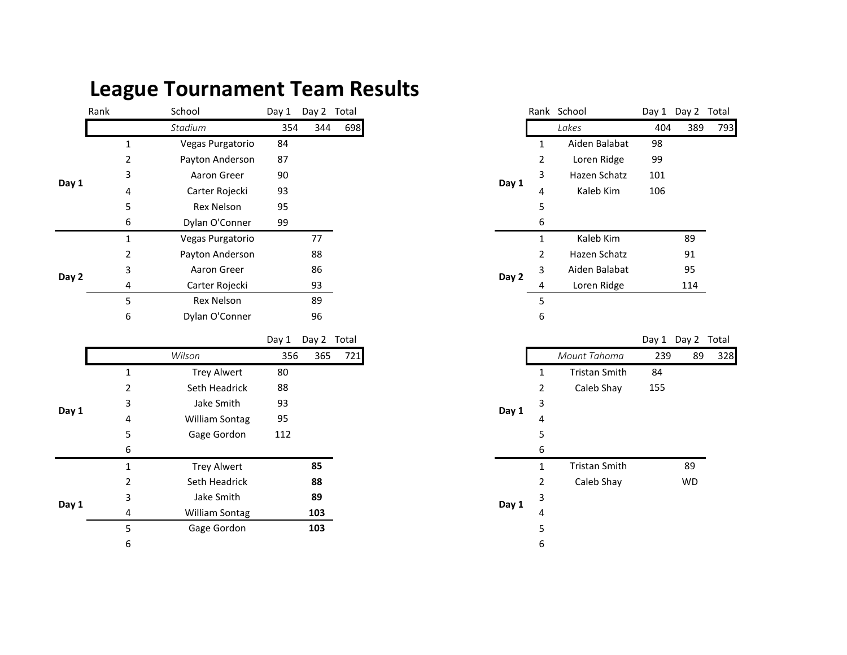## **League Tournament Team Results**

|       | Rank |                                                              | School           | Day 1 | Day 2 Total |     |       |                       | Rank School   |     | Day 1 Day 2 | Total |
|-------|------|--------------------------------------------------------------|------------------|-------|-------------|-----|-------|-----------------------|---------------|-----|-------------|-------|
|       |      |                                                              | Stadium          | 354   | 344         | 698 |       |                       | Lakes         | 404 | 389         | -79   |
|       |      |                                                              | Vegas Purgatorio | 84    |             |     |       |                       | Aiden Balabat | 98  |             |       |
|       |      |                                                              | Payton Anderson  | 87    |             |     |       |                       | Loren Ridge   | 99  |             |       |
|       |      | 3                                                            | Aaron Greer      | 90    |             |     |       | 3                     | Hazen Schatz  | 101 |             |       |
| Day 1 |      | 4                                                            | Carter Rojecki   | 93    |             |     | Day 1 | 4                     | Kaleb Kim     | 106 |             |       |
|       |      | 5                                                            | Rex Nelson       | 95    |             |     |       | 5.                    |               |     |             |       |
|       |      | 6                                                            | Dylan O'Conner   | 99    |             |     |       | 6                     |               |     |             |       |
|       |      | Vegas Purgatorio<br>Payton Anderson<br>2<br>Aaron Greer<br>3 |                  |       | 77          |     |       |                       | Kaleb Kim     |     | 89          |       |
|       |      |                                                              |                  |       | 88          |     |       | $\mathbf{2}^{\prime}$ | Hazen Schatz  |     | 91          |       |
|       |      |                                                              |                  |       | 86          |     |       | 3                     | Aiden Balabat |     | 95          |       |
| Day 2 |      | 4                                                            | Carter Rojecki   |       | 93          |     | Day 2 | 4                     | Loren Ridge   |     | 114         |       |
|       |      | 5                                                            | Rex Nelson       |       | 89          |     |       | 5                     |               |     |             |       |
|       |      | 6                                                            | Dylan O'Conner   |       | 96          |     |       | 6                     |               |     |             |       |

|       |   |                                          | Day 1 | Day 2 Total |     |       |            |                      | Day 1 Day 2 |           |
|-------|---|------------------------------------------|-------|-------------|-----|-------|------------|----------------------|-------------|-----------|
|       |   | Wilson                                   | 356   | 365         | 721 |       |            | Mount Tahoma         | 239         | 8         |
|       | 1 | <b>Trey Alwert</b>                       | 80    |             |     |       | 1          | <b>Tristan Smith</b> | 84          |           |
|       | 2 | Seth Headrick                            | 88    |             |     | 2     | Caleb Shay | 155                  |             |           |
|       | 3 | Jake Smith<br><b>William Sontag</b><br>4 |       | 93<br>95    |     |       | 3          |                      |             |           |
| Day 1 |   |                                          |       |             |     |       | 4          |                      |             |           |
|       | 5 | Gage Gordon                              | 112   |             |     |       | 5          |                      |             |           |
|       | 6 |                                          |       |             |     |       | 6          |                      |             |           |
|       | 1 | <b>Trey Alwert</b>                       |       | 85          |     |       | 1          | <b>Tristan Smith</b> |             | 89        |
|       | 2 | Seth Headrick                            |       | 88          |     |       | 2          | Caleb Shay           |             | <b>WD</b> |
| Day 1 | 3 | Jake Smith                               |       | 89          |     | Day 1 | 3          |                      |             |           |
|       | 4 | William Sontag                           | 103   |             |     |       | 4          |                      |             |           |
|       | 5 | Gage Gordon                              |       | 103         |     |       | 5          |                      |             |           |
|       | 6 |                                          |       |             |     |       | 6          |                      |             |           |

| School                | Day 1 | Day 2 Total |     |       |                | Rank School          |     | Day 1 Day 2 Total |     |
|-----------------------|-------|-------------|-----|-------|----------------|----------------------|-----|-------------------|-----|
| Stadium               | 354   | 344         | 698 |       |                | Lakes                | 404 | 389               | 793 |
| Vegas Purgatorio      | 84    |             |     |       | $\mathbf{1}$   | Aiden Balabat        | 98  |                   |     |
| Payton Anderson       | 87    |             |     |       | $\overline{2}$ | Loren Ridge          | 99  |                   |     |
| Aaron Greer           | 90    |             |     |       | 3              | Hazen Schatz         | 101 |                   |     |
| Carter Rojecki        | 93    |             |     | Day 1 | 4              | Kaleb Kim            | 106 |                   |     |
| <b>Rex Nelson</b>     | 95    |             |     |       | 5              |                      |     |                   |     |
| Dylan O'Conner        | 99    |             |     |       | 6              |                      |     |                   |     |
| Vegas Purgatorio      |       | 77          |     |       | 1              | Kaleb Kim            |     | 89                |     |
| Payton Anderson       |       | 88          |     |       | 2              | Hazen Schatz         |     | 91                |     |
| Aaron Greer           |       | 86          |     | Day 2 | 3              | Aiden Balabat        |     | 95                |     |
| Carter Rojecki        |       | 93          |     |       | 4              | Loren Ridge          |     | 114               |     |
| <b>Rex Nelson</b>     |       | 89          |     |       | 5              |                      |     |                   |     |
| Dylan O'Conner        |       | 96          |     |       | 6              |                      |     |                   |     |
|                       | Day 1 | Day 2 Total |     |       |                |                      |     | Day 1 Day 2 Total |     |
| Wilson                | 356   | 365         | 721 |       |                | Mount Tahoma         | 239 | 89                | 328 |
| <b>Trey Alwert</b>    | 80    |             |     |       | 1              | <b>Tristan Smith</b> | 84  |                   |     |
| Seth Headrick         | 88    |             |     |       | 2              | Caleb Shay           | 155 |                   |     |
| Jake Smith            | 93    |             |     | Day 1 | 3              |                      |     |                   |     |
| William Sontag        | 95    |             |     |       | 4              |                      |     |                   |     |
| Gage Gordon           | 112   |             |     |       | 5              |                      |     |                   |     |
|                       |       |             |     |       | 6              |                      |     |                   |     |
| <b>Trey Alwert</b>    |       | 85          |     |       | $\mathbf{1}$   | <b>Tristan Smith</b> |     | 89                |     |
| Seth Headrick         |       | 88          |     |       | 2              | Caleb Shay           |     | <b>WD</b>         |     |
| Jake Smith            |       | 89          |     | Day 1 | 3              |                      |     |                   |     |
| <b>William Sontag</b> |       | 103         |     |       | 4              |                      |     |                   |     |
| Gage Gordon           |       | 103         |     |       | 5              |                      |     |                   |     |
|                       |       |             |     |       | ĥ              |                      |     |                   |     |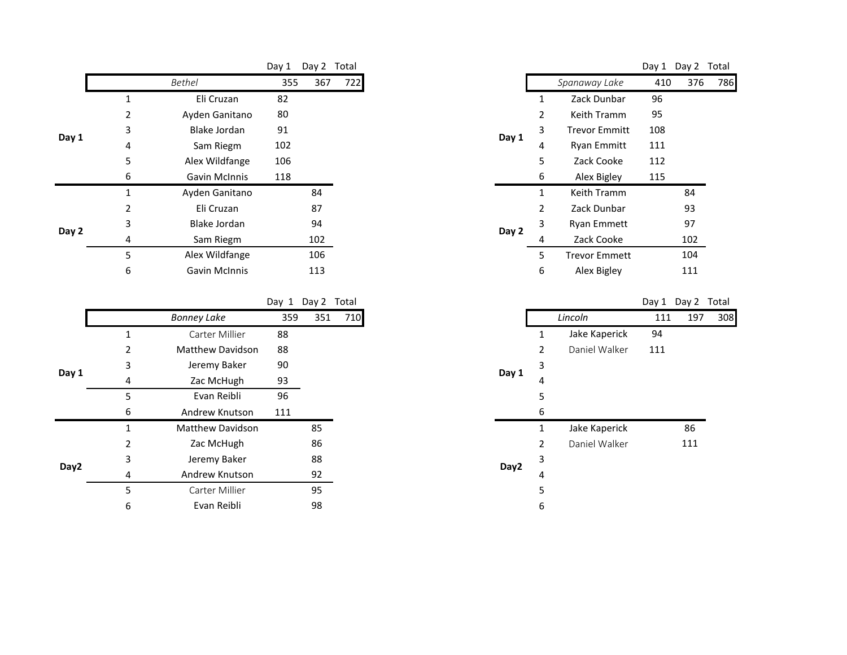|       |                          |                      | Day 1 | Day 2 | Total |
|-------|--------------------------|----------------------|-------|-------|-------|
|       |                          | Bethel               | 355   | 367   | 722   |
|       | 1                        | Eli Cruzan           | 82    |       |       |
|       | 2                        | Ayden Ganitano       |       |       |       |
| Day 1 | 3<br><b>Blake Jordan</b> |                      | 91    |       |       |
|       | 4                        | Sam Riegm            | 102   |       |       |
|       | 5                        | Alex Wildfange       | 106   |       |       |
|       | 6                        | <b>Gavin McInnis</b> | 118   |       |       |
|       | 1                        | Ayden Ganitano       |       | 84    |       |
|       | 2                        | Eli Cruzan           |       | 87    |       |
| Day 2 | 3                        | <b>Blake Jordan</b>  |       | 94    |       |
|       | 4                        | Sam Riegm            |       | 102   |       |
|       | 5                        | Alex Wildfange       |       | 106   |       |
|       | 6                        | Gavin McInnis        |       | 113   |       |

Day 1 Day 2 Total Day 1 Day 2 Total

|       |   | <b>Bonney Lake</b>      | 359 | 351 | 710 |
|-------|---|-------------------------|-----|-----|-----|
|       | 1 | Carter Millier          | 88  |     |     |
|       | 2 | <b>Matthew Davidson</b> | 88  |     |     |
| Day 1 | 3 | Jeremy Baker            | 90  |     |     |
|       | 4 | Zac McHugh              |     |     |     |
|       | 5 | Evan Reibli             | 96  |     |     |
|       | 6 | Andrew Knutson          | 111 |     |     |
|       | 1 | <b>Matthew Davidson</b> |     | 85  |     |
|       | 2 | Zac McHugh              |     | 86  |     |
| Day2  | 3 | Jeremy Baker            |     | 88  |     |
|       | 4 | Andrew Knutson          |     | 92  |     |
|       | 5 | Carter Millier          |     | 95  |     |
|       | 6 | Evan Reibli             |     | 98  |     |

|                      | Day 1 | Day 2 Total |     |       |   |                      |     | Day 1 Day 2 | Total |
|----------------------|-------|-------------|-----|-------|---|----------------------|-----|-------------|-------|
| Bethel               | 355   | 367         | 722 |       |   | Spanaway Lake        | 410 | 376         |       |
| Eli Cruzan           | 82    |             |     |       | 1 | Zack Dunbar          | 96  |             |       |
| Ayden Ganitano       | 80    |             |     |       | 2 | Keith Tramm          | 95  |             |       |
| Blake Jordan         | 91    |             |     | Day 1 | 3 | <b>Trevor Emmitt</b> | 108 |             |       |
| Sam Riegm            | 102   |             |     |       | 4 | <b>Ryan Emmitt</b>   | 111 |             |       |
| Alex Wildfange       | 106   |             |     |       | 5 | Zack Cooke           | 112 |             |       |
| <b>Gavin McInnis</b> | 118   |             |     |       | 6 | Alex Bigley          | 115 |             |       |
| Ayden Ganitano       |       | 84          |     |       | 1 | Keith Tramm          |     | 84          |       |
| Eli Cruzan           |       | 87          |     |       | 2 | Zack Dunbar          |     | 93          |       |
| Blake Jordan         |       | 94          |     | Day 2 | 3 | Ryan Emmett          |     | 97          |       |
| Sam Riegm            |       | 102         |     |       | 4 | Zack Cooke           |     | 102         |       |
| Alex Wildfange       |       | 106         |     |       | 5 | <b>Trevor Emmett</b> |     | 104         |       |
| <b>Gavin McInnis</b> |       | 113         |     |       | 6 | Alex Bigley          |     | 111         |       |
|                      |       |             |     |       |   |                      |     |             |       |

| Bonney Lake             | 359 | 351 | 710 |       |   | Lincoln       | 111 | 197 | 308 |
|-------------------------|-----|-----|-----|-------|---|---------------|-----|-----|-----|
| Carter Millier          | 88  |     |     |       | 1 | Jake Kaperick | 94  |     |     |
| <b>Matthew Davidson</b> | 88  |     |     |       | 2 | Daniel Walker | 111 |     |     |
| Jeremy Baker            | 90  |     |     |       | 3 |               |     |     |     |
| Zac McHugh              | 93  |     |     | Day 1 | 4 |               |     |     |     |
| Evan Reibli             | 96  |     |     |       | 5 |               |     |     |     |
| <b>Andrew Knutson</b>   | 111 |     |     |       | 6 |               |     |     |     |
| Matthew Davidson        |     | 85  |     |       | 1 | Jake Kaperick |     | 86  |     |
| Zac McHugh              |     | 86  |     |       | 2 | Daniel Walker |     | 111 |     |
| Jeremy Baker            |     | 88  |     | Day2  | 3 |               |     |     |     |
| <b>Andrew Knutson</b>   |     | 92  |     |       | 4 |               |     |     |     |
| Carter Millier          |     | 95  |     |       | 5 |               |     |     |     |
| Evan Reibli             |     | 98  |     |       | 6 |               |     |     |     |